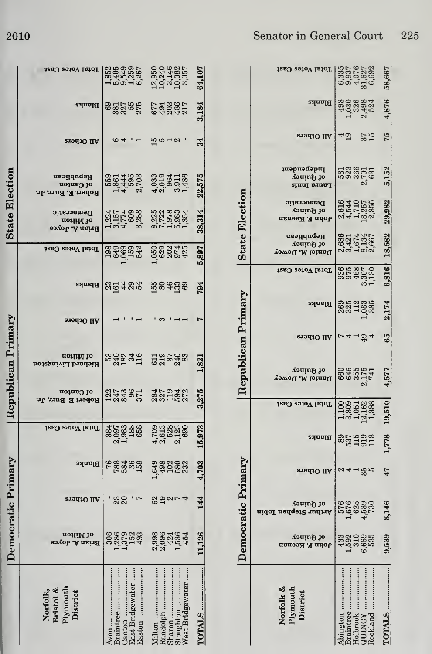|                       | Total Votes Cast<br>Blanks<br>All Others       | 1853851<br>18753851<br>1897851<br>82222 23232<br>$\frac{6}{4}$     | ഥാപ $\sim$                                       | 64,107<br>3,184<br>34 |
|-----------------------|------------------------------------------------|--------------------------------------------------------------------|--------------------------------------------------|-----------------------|
| <b>State Election</b> | Republican<br>of Canton<br>Robert E. Burr, Jr. | 1981<br>1981 1980<br>1981 1980<br>1980 1980 1981<br>1980 1981 1981 |                                                  | 22,575                |
|                       | Democratic<br>aoiliM io<br>Brian A. Joyce      | HULA 98 HULA<br>1975 1980 1980 1991<br>1994 1998 1992 1994         |                                                  | 38,314                |
|                       | Total Votes Cast                               | 338833 58824                                                       |                                                  | 5,897                 |
|                       | Blanks<br>All Others                           | säzss Reats                                                        | ణ                                                | 794<br>Ļ              |
|                       | uoiliM lo<br>Richard Livingston                | nggash Sarga                                                       |                                                  | 1,821                 |
| Republican Primary    | of Canton<br>Robert E. Burr, Jr.               | 273857                                                             | 8872372                                          | 3,275                 |
|                       | Total Votes Cast                               | 3353388<br>205388                                                  |                                                  | 15,973                |
|                       | Blanks                                         | <b>98388</b>                                                       | <b>1988282</b><br>1988282                        | 4,703                 |
| emocratic Primary     | All Others                                     | $23$ $\frac{1}{7}$                                                 | 8ವರ್ಷ 4                                          | 144                   |
|                       | aoiliM 10<br>Brian A. Joyce                    | 886283                                                             | 000404<br>000404                                 | 1,126                 |
|                       | Norfolk,<br>Bristol &<br>Plymouth<br>District  | aston<br>www.communication.com<br>raintree                         | andolph<br>haron<br>toughton<br>Nest Bridgewater | <b>OTALS </b>         |

|                       | Total Votes Cast                               | 58,667<br>63357637637<br>0337627<br>0345032       |
|-----------------------|------------------------------------------------|---------------------------------------------------|
|                       | Blanks                                         | 4,876<br>4988884<br>40389824<br>403998            |
|                       | All Others                                     | 75<br>$^{49}$<br>$\frac{1}{35}$                   |
|                       | <b>1</b> hdepadent<br>ot Quinty<br>Fanta Innis | 5,152                                             |
| <b>State Election</b> | Democratic<br>of Quincy<br>John F. Keenan      | 29,982<br>2544<br>2557<br>2557<br>2555<br>202     |
|                       | Republican<br>ot Quincy<br>Daniel M. Dewey     | 18,582<br>88454457<br>8846186<br>28462            |
|                       | Total Votes Cast                               | 6,816<br>935<br>1948<br>1958<br>1958<br>1958      |
|                       | Blanks                                         | 2,174<br>882288                                   |
|                       | All Others                                     | 65<br>74194                                       |
| Republican Primary    | ot Quincy<br>Daniel M. Dewey                   | $88887741$ $23741$<br>4,577                       |
|                       | Total Votes Cast                               | 1,778 19,510<br>1885188<br>186188<br>18191        |
|                       | Blanks                                         | sangga                                            |
|                       | All Others                                     | 24155<br>47                                       |
| mocratic Primary      | of Quincy<br>Arthur Stephen Tobin              | 8,146<br>1,678<br>1,678<br>4,578<br>4,780         |
|                       | of Quincy<br>лори F. Кеепап                    | 539<br>3330035                                    |
|                       | Norfolk &<br>Plymouth<br>District              | OTALS<br>ington<br>raintree<br>ockland<br>olbrook |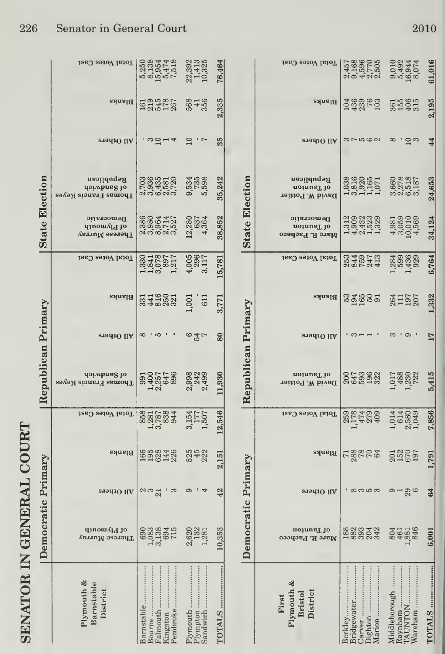| <b>CLARATION</b>   |
|--------------------|
|                    |
| りり                 |
|                    |
|                    |
|                    |
|                    |
|                    |
|                    |
| í                  |
| <b>CONTRACTOR</b>  |
|                    |
|                    |
| $\frac{1}{2}$<br>ŕ |
|                    |
|                    |
|                    |
|                    |
| <b>ALLAND</b>      |
|                    |
|                    |
| <b>ARNATOR</b>     |
|                    |

|                                      | Democratic Primary                |            |             |                         | Republican Primary                  |                         |                  |                              | <b>State Election</b>                                   |                                                   |            |                            |                           |
|--------------------------------------|-----------------------------------|------------|-------------|-------------------------|-------------------------------------|-------------------------|------------------|------------------------------|---------------------------------------------------------|---------------------------------------------------|------------|----------------------------|---------------------------|
| Plymouth &<br>Barnstable<br>District | qinomAld jo<br>Therese Murray     | All Others | Blanks      | Total Votes Cast        | doiwhang to<br>Thomas Francis Keyes | <b>STOLIO</b> IIA       | Blanks           | Total Votes Cast             | Democratic<br>q1nows <sub>Id</sub> jo<br>Therese Murray | Republican<br>doiwhnag lo<br>Thomas Francis Keyes | and Others | Blanks                     | Total Votes Cast          |
| Barnstable<br>Falmouth               | 888345<br>88835                   | 292<br>S   | 558348 5482 | 858183844               |                                     | 8<br>் ம                | 34283            | 1182217<br>1820221<br>192021 | 888812<br>888512<br>888616                              |                                                   | , ധට് പ 4  | 1619<br>2145<br>267<br>267 |                           |
| Plympton<br>Sandwich                 | 622<br>132<br>281<br>$\mathbf{c}$ | ာ          |             | 3,154<br>1,507<br>1,507 | 2,998<br>242<br>2,499               | $^{\circ}$ 4 $^{\circ}$ | $1,001$<br>$611$ | 4,005<br>2966<br>3,117       | $12,280$<br>$4,364$                                     | 9,534<br>735<br>5,598                             | $\Xi$<br>7 | 568<br>356                 | 22,392<br>1,413<br>10,325 |
| TOTALS                               | 353<br>$\Xi$                      | 42         | 2,151       | 12,546                  | 11,930                              | 80                      | 3,771            | 15,781                       | 38,852                                                  | 35,242                                            | 35         | 2,335                      | 76,464                    |
|                                      | ſ                                 |            |             |                         | ¢                                   |                         |                  |                              | Ī<br>$\frac{1}{\zeta}$                                  |                                                   |            |                            |                           |

|                                            | Dei                                       | mocratic Primary |                      |                               | Republican Primary                         |            |                    |                        | <b>State Election</b>                                   |                                                          |                    |                         |                                    |
|--------------------------------------------|-------------------------------------------|------------------|----------------------|-------------------------------|--------------------------------------------|------------|--------------------|------------------------|---------------------------------------------------------|----------------------------------------------------------|--------------------|-------------------------|------------------------------------|
| Plymouth &<br>Bristol<br>District<br>First | uojune <sub>L</sub> jo<br>Marc R. Pacheco | All Others       | Blanks               | Total Votes Cast              | uojune <sub>L</sub> jo<br>David W. Pottier | All Others | Blanks             | Total Votes Cast       | Democratic<br>uojune <sub>L</sub> jo<br>Marc R. Pacheco | Republican<br>uojune <sub>l</sub> jo<br>David W. Pottier | All Others         | Blanks                  | Total Votes Cast                   |
| Berkley                                    | 882342<br>882342                          | ' ထက္ က က        | rggeer<br>T          | $258$<br>$17429$<br>$-429$    | 0.738828                                   |            | និងថ្មីកូន         | 040573<br>040473       |                                                         | 132001111 3002257<br>13200110 300001<br>132111 30003     | 35000              | 1948069<br>1958<br>1958 | 1568605<br>1168676<br>201102       |
| Vareham                                    | 804888                                    | മപമ്പ            | 2020<br>2020<br>2021 | $1,014$<br>$0.580$<br>$1,049$ | 1,017<br>1,230<br>1,230<br>1,222           |            | 264<br>1957<br>207 | 139829<br>2003<br>2014 | $4,981$<br>$3,059$<br>$10,010$<br>$4,569$               |                                                          | $\infty$<br>., ⊂ బ | <b>SESSE</b>            | 9,010<br>5,4944<br>16,944<br>8,074 |
| <b>FOTALS</b>                              | $\ddot{\rm e}$                            | 3                | 1,791                | 7,856                         | 5,415                                      | 17         | 1,332              | 6,764                  | 34,124                                                  | 24,653                                                   | 44                 | 2,195                   | 61,016                             |

2010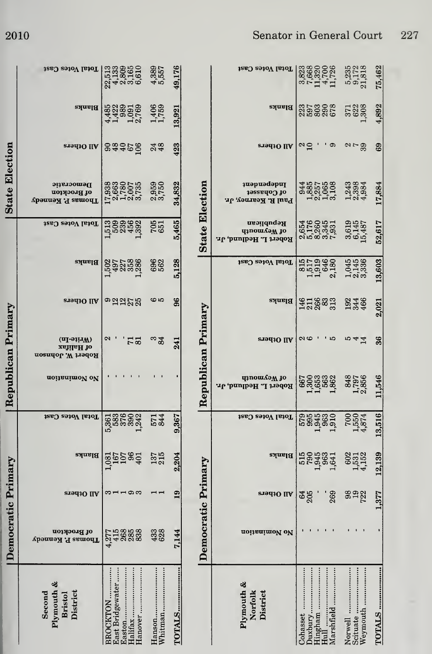|  |  |  | Senator in General Court |  | 227 |
|--|--|--|--------------------------|--|-----|
|--|--|--|--------------------------|--|-----|

|                    | Total Votes Cast                                                             | $\begin{array}{c} 22,513 \\ 4,133 \\ 2,809 \\ 5,165 \\ 6,610 \end{array}$          | $4,389$<br>$5,557$ | 49,176        |                       | Total Votes Cast                                         | $\begin{array}{c} 3.823 \\ 7.6320 \\ 1.714 \\ 1.141 \\ \end{array}$ | $\frac{5,235}{9,172}$<br>21,818 | 75,462        |
|--------------------|------------------------------------------------------------------------------|------------------------------------------------------------------------------------|--------------------|---------------|-----------------------|----------------------------------------------------------|---------------------------------------------------------------------|---------------------------------|---------------|
|                    | $B$ lanks                                                                    | 43235169<br>44235169<br>41 121                                                     | 1,406<br>1,759     | 13,921        |                       | Blanks                                                   | 255252                                                              | 371<br>622<br>308               | 4,892         |
|                    | <b>All Others</b>                                                            | 833280                                                                             | 248                | 423           |                       | All Others                                               | $\frac{2}{10}$<br>ాం                                                | $\alpha \sim 3$                 | 69            |
| State Election     | Democratic<br>of Brockton<br>Thomas P. Kennedy                               | $\begin{array}{c} 17.938 \\ 2.663 \\ 1.780 \\ 1.007 \\ 2.007 \\ 3.735 \end{array}$ | 2,959<br>3,750     | 34,832        |                       | <b>u</b> apuadapuI<br>of Cohaset<br>Paul R. Kearney, Jr. | 944<br>1885<br>187065<br>1871<br>3.188                              | $\frac{1,243}{2,3384}$          | 17,884        |
|                    | Total Votes Cast                                                             | 1,513<br>509<br>1,5392<br>1,392                                                    | 705                | 5,465         | <b>State Election</b> | Republican<br>палошлэм до<br>Robert L. Hedlund, Jr.      | 010051<br>010050<br>010051                                          | $3,619$<br>$6,145$<br>$15,487$  | 52,617        |
|                    | Blanks                                                                       | 1,502<br>497<br>1,988<br>1,988                                                     | 6962               | 5,128         |                       | Total Votes Cast                                         | 81517<br>1519<br>1546<br>2,180                                      | 1,045<br>2,145<br>3,336         | 13,603        |
|                    | <b>STALIO</b> IIA                                                            | ಾಇಇನನ                                                                              | ဖေဖ                | 96            |                       | Blanks                                                   | 318823<br>31882                                                     | 23466<br>466                    | 2,021         |
|                    | $(\mathbf{u}_1$ -a $\mathbf{u}_M)$<br><b>zsìilaH</b> io<br>Robert W. Johnson | $\boldsymbol{\omega}$<br>73                                                        | 34                 | 241           |                       | All Others                                               | $\sim$<br>່ມ                                                        | 10 4 4                          | 36            |
| Republican Primary | noitenimoV oV                                                                |                                                                                    |                    |               | Republican Primary    | qinomaaM jo<br>Robert L. Hedlund, Jr.                    | 667888<br>136888<br>11688                                           | 848<br>1,797<br>2,856           | 11,546        |
|                    | Total Votes Cast                                                             |                                                                                    | 5744               | 367<br>ာ      |                       | Total Votes Cast                                         | <b>parage</b><br>2009                                               | $7,550$<br>$4,874$              | 13,516        |
|                    | Blanks                                                                       | $1,081$<br>$167$<br>$96$<br>$401$                                                  | 137<br>215         | 204<br>0Ĵ     |                       | Blanks                                                   | 5555841                                                             | 602<br>1531<br>1552             | 12,139        |
|                    | <b>STad3O IIA</b>                                                            | $3 - 192$                                                                          |                    | 19            | mocratic Primary      | All Others                                               | 269<br>$rac{64}{205}$                                               | <b>3922</b>                     | 377           |
| Democratic Primary | of Brockton<br><b>Thomas P. Kennedy</b>                                      | 21588888                                                                           | 433                | 7,144         | Å                     | noitanimoV oV                                            |                                                                     |                                 |               |
|                    | Plymouth &<br>Second<br>District<br><b>Bristol</b>                           | Hanover<br>East Bridgewater<br>BROCKTON<br>Easton                                  | Hanson<br>Whitman  | <b>TOTALS</b> |                       | Plymouth &<br>Norfolk<br>District                        | Duxbury<br>Cohasset                                                 | Weymouth<br>Norwell             | <b>TOTALS</b> |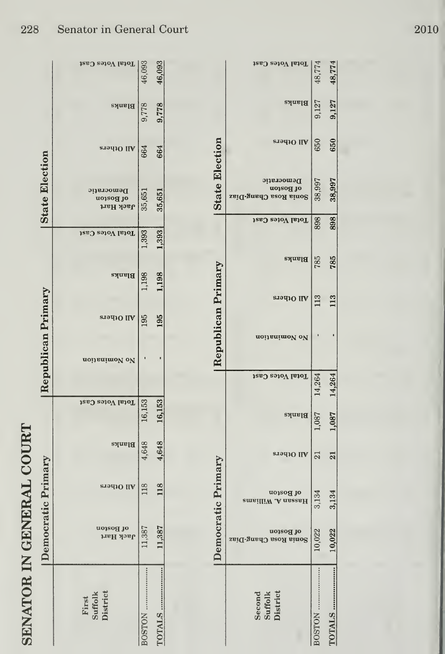## SENATOR IN GENERAL COURT

|                       | Total Votes Cast                           |              |        |                       | Total Votes Cast                                 |                 |
|-----------------------|--------------------------------------------|--------------|--------|-----------------------|--------------------------------------------------|-----------------|
|                       |                                            | 46,093       | 46,093 |                       |                                                  | 48,774          |
|                       | Blanks                                     | 9,778        | 9,778  |                       | Blanks                                           | 9,127           |
|                       | Pilothers                                  | 664          | 664    |                       | All Others                                       | 650             |
| <b>State Election</b> | Democratic<br>of Boston<br>Jack Hart       | 35,651       | 35,651 | <b>State Election</b> | Democratic<br>of Boston<br>Sonia Rosa Chang-Diaz | 38,997          |
|                       | Total Votes Cast                           |              |        |                       | Total Votes Cast                                 | 898             |
|                       |                                            | 1,393        | 1,393  |                       | Blanks                                           | 785             |
|                       | <b>Blanks</b>                              | 1,198        | 1,198  | Republican Primary    | and Others                                       | 113             |
| Republican Primary    | All Others                                 | 195          | 195    |                       | noitanimoV oV                                    |                 |
|                       | noitenimoV oV                              |              |        |                       |                                                  |                 |
|                       |                                            |              |        |                       | Total Votes Cast                                 | 14,264          |
|                       | Total Votes Cast                           | 16,153       | 16,153 |                       | <b>Blanks</b>                                    | 1,087           |
|                       | <b>Blanks</b>                              | 4,648        | 4,648  |                       | All Others                                       | $\overline{21}$ |
|                       | All Others                                 | 118          | 118    |                       | of Boston<br>emsilliW .A nasasH                  | 3,134           |
| Democratic Primary    | of Boston<br>Јаск Нагі                     | 387<br>$\Xi$ | ,387   | Democratic Primary    | of Boston<br>$2B1$ $T-5U8U$ $R$                  | 10,022          |
|                       | <b>District</b><br><b>Suffolk</b><br>First |              |        |                       | District<br>Second<br>Suffolk                    |                 |

48,774

9,127

650

38,997

898

785

113

14,264

1,087

21

3,134

10,022

TOTALS ................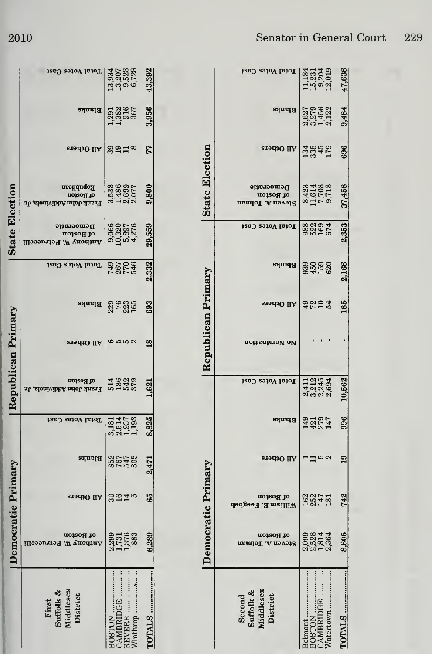|                       | Total Votes Cast                                      | 330728<br>330728<br>3305728       |                      |         | 43,392         |
|-----------------------|-------------------------------------------------------|-----------------------------------|----------------------|---------|----------------|
|                       | Blanks                                                | 138167<br>138167<br>1393          |                      |         | 3,956          |
|                       | <b>STALLO IIA</b>                                     | ಙವದ∞                              |                      |         | 77             |
|                       | Republican<br>uo1sog jo<br>Trank John Addivinola, Jr. | 35386<br>54869<br>310077<br>31007 |                      |         | 9,800          |
| <b>State Election</b> | Democratic<br>of Boston<br>Anthony W. Petruceelli     | 9,920<br>0,320<br>9,897<br>4,276  |                      |         | 29,559         |
|                       | Total Votes Cast                                      | <b>28528</b><br>2852              |                      |         | 2,332          |
|                       | Blanks                                                | 22525                             |                      |         | 693            |
|                       | and Others                                            | 6550                              |                      |         | $\frac{8}{2}$  |
| Republican Primary    | of Boston<br>: The John Addivinola, Jr.               | 52555                             |                      |         | 1,621          |
|                       | Total Votes Cast                                      | 31458<br>35582<br>30113           |                      |         | 8,825          |
|                       | Blanks                                                |                                   | 8545<br>8545<br>8758 |         | 2,471          |
| cratic Primary        | All Others                                            | 3945                              |                      |         | 65             |
| em                    | uo120d 10<br>Auoq1uV<br>Petr<br>'M                    | 2762<br>817.<br>217               |                      |         | ခွာ<br>6.2     |
|                       | Suffolk &<br>Middlesex<br>District<br>First           |                                   | AMBRIDGE<br>EVERE    | inthrop | <b>FOTALS </b> |

|                                              |                                      | mocratic Primary                |               |               |                                   | Republican Primary |                   |        |                  | <b>State Election</b>                       |                        |                                   |                                                |
|----------------------------------------------|--------------------------------------|---------------------------------|---------------|---------------|-----------------------------------|--------------------|-------------------|--------|------------------|---------------------------------------------|------------------------|-----------------------------------|------------------------------------------------|
| Suffolk &<br>Middlesex<br>District<br>Second | of Boston<br>Steven A. Tolman        | of Boston<br>William B. Feegbeh | All Others    | <b>Blanks</b> | Total Votes Cast                  | noitsnimol ol      | aradio llA   참등공모 | Blanks | Total Votes Cast | Democratic<br>ot Boston<br>Steven A. Tolman | All Others             | <b>Blanks</b>                     | Total Votes Cast                               |
| OTALS<br>Jatertown<br>elmont                 | 2,52364<br>2,52364<br>2,364<br>8,805 | 1827<br>1845<br>181<br>742      | $-1.50$<br>19 | 996<br>142247 | 11245<br>22145<br>22145<br>10,562 |                    | 185               | 2,168  | 2,353<br>882974  | 8423<br>01103<br>0117.5<br>0.718<br>37,458  | 133450<br>13451<br>696 | 0279<br>027452<br>0.9452<br>9,484 | 11,184<br>15,231<br>12,019<br>12,019<br>47,638 |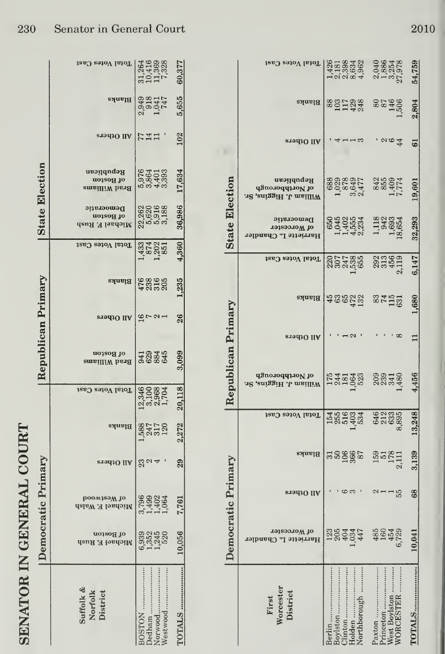| <b>COLLAN</b><br>ידממה.                               |
|-------------------------------------------------------|
|                                                       |
| <b>GENATOR IN GENERAL</b><br>$\overline{\phantom{a}}$ |
|                                                       |
|                                                       |
|                                                       |
| $\leq$<br>r                                           |
| <b>ALUIN</b>                                          |
|                                                       |
|                                                       |
|                                                       |

|                                  |                              | emocratic Primary                |                 |               |                            | Republican Primary         |             |        |                                  | <b>State Election</b>                      |                                                 |            |                          |                               |
|----------------------------------|------------------------------|----------------------------------|-----------------|---------------|----------------------------|----------------------------|-------------|--------|----------------------------------|--------------------------------------------|-------------------------------------------------|------------|--------------------------|-------------------------------|
| Suffolk &<br>Norfolk<br>District | of Boston<br>Michael F. Rush | роомзээм зо<br>Michael F. Walsh  | All Others      | <b>Blanks</b> | Total Votes Cast           | of Boston<br>Brad Williams | All Others  | Blanks | Total Votes Cast                 | Democratic<br>of Boston<br>Michael F. Rush | Republican<br>of Boston<br><b>Brad Williams</b> | All Others | Blanks                   | 12RJ PatoV IstoT              |
| edham<br>orwood<br>estwood       | 822420<br>822420<br>8225     | 3,799<br>1,492<br>1,064<br>1,064 | 224             | 525720        | 010084<br>010084<br>010011 | 32345<br>32345             | $9 - 9 - 1$ | 47886  | 1,333<br>1,202<br>1,202<br>1,851 | 2820<br>2820<br>283188<br>283188           | 5354<br>5364<br>5393<br>5393                    | Fii        | 238141<br>238141<br>2381 | 3145888<br>1045888<br>1117388 |
| TALS                             | 0,056                        | 7,761                            | $\overline{29}$ | 2.272         | 20,118                     | 3,099                      | 26          | 1,235  | 4,360                            | 36,986                                     | 17,634                                          | 102        | 5,655                    | 60,37                         |

|                       | Total Votes Cast                                           |        |      | 426342<br>4163636<br>10004 | 2,040<br>2,8854<br>2,978<br>27,978                       |           |                            |                                                                    | 54,759     |
|-----------------------|------------------------------------------------------------|--------|------|----------------------------|----------------------------------------------------------|-----------|----------------------------|--------------------------------------------------------------------|------------|
|                       | Blanks                                                     |        |      | 8821288                    |                                                          |           |                            | 80<br>87<br>87<br>98<br>98<br>98<br>98<br>98<br>98<br>1<br>90<br>1 | 2,804      |
|                       | All Others                                                 |        |      | ∗ ຕ                        |                                                          |           | 364                        |                                                                    | 5          |
|                       | Republican<br>of Northborough<br>.12 , aniggiH .U mailliW  |        |      |                            | 12222 1232<br>12224 1232<br>1232 124                     |           |                            |                                                                    | 19,601     |
| <b>State Election</b> | Democratic<br>of Worcester<br><b>Harriette L. Chandler</b> |        |      |                            | 650<br>0403534<br>040534<br>040654<br>040654<br>04064    |           |                            |                                                                    | 32,293     |
|                       | Total Votes Cast                                           |        |      | 2075<br>2075<br>2075       |                                                          |           |                            | $23349$<br>$213$<br>$213$                                          | 6,147      |
|                       | Blanks                                                     |        |      |                            | <b>#@@Q3</b> @PH5                                        |           |                            |                                                                    | $089^{11}$ |
|                       | All Others                                                 |        |      |                            |                                                          |           |                            |                                                                    |            |
| Republican Primary    | ot Northborough<br>.12 , eniggiH .U msilliW                |        |      |                            | Hangan 200748                                            |           |                            |                                                                    | 4,456      |
|                       | Total Votes Cast                                           |        |      | 15406334                   | 646<br>212<br>833<br>8395                                |           |                            |                                                                    | 13,248     |
|                       | Blanks                                                     |        |      | 122222                     | $\begin{array}{c} 159 \\ 51 \\ 178 \\ 2,111 \end{array}$ |           |                            |                                                                    | 3,139      |
| cratic Primary        | All Others                                                 |        | ဇာ က |                            | $21 - 55$                                                |           |                            |                                                                    | 68         |
|                       | of Worcester<br>Harriette L. Chandler                      | 283347 |      |                            | 485<br>4542<br>4729                                      |           |                            |                                                                    |            |
|                       | Worcester<br>District<br>First                             |        |      | Holden<br>Northborough     | Paxton                                                   | Princeton | West Boylston<br>WORCESTER |                                                                    | TOTALS     |

 $1 - 1$ 

 $\sim$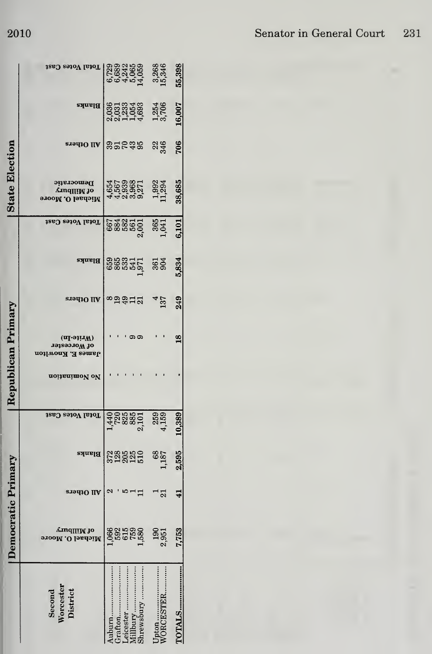|                                 |                                                               | ocratic Primary |                        |                                                     |               | emplican Primary                               |                    |            |                                | State Election                                    |            |                                           |                                                                                                                                                                                                                                                                                               |
|---------------------------------|---------------------------------------------------------------|-----------------|------------------------|-----------------------------------------------------|---------------|------------------------------------------------|--------------------|------------|--------------------------------|---------------------------------------------------|------------|-------------------------------------------|-----------------------------------------------------------------------------------------------------------------------------------------------------------------------------------------------------------------------------------------------------------------------------------------------|
| Worcester<br>District<br>Second | Amq∏!M J0<br>Michael O. Moore                                 | All Others      | Blanks                 | Total Votes Cast                                    | no Nomination | (nI-sirW)<br>of Worcester<br>James E. Knowlton | $\vert$ VII Ofpers | Blanks     | Total Votes Cast               | Democratic<br>Amq∏IM Jo<br>Michael O. Moore       | атэц10 IIA | <b>Blanks</b>                             | Total Votes Cast                                                                                                                                                                                                                                                                              |
| burn                            | $066$<br>$592$<br>$593$<br>$156$<br>$190$<br>$191$<br>$2,951$ | a , rad         |                        |                                                     |               |                                                | 89472              | 888355     |                                |                                                   | និក្ខុមន   |                                           | $\begin{matrix} 2000 \\ 0.63240 \\ 0.6400 \\ 0.6340 \\ 0.6340 \\ 0.6340 \\ 0.6340 \\ 0.6340 \\ 0.6340 \\ 0.6340 \\ 0.6340 \\ 0.6340 \\ 0.6340 \\ 0.6340 \\ 0.6340 \\ 0.6340 \\ 0.6340 \\ 0.6340 \\ 0.6340 \\ 0.6340 \\ 0.6340 \\ 0.6340 \\ 0.6340 \\ 0.6340 \\ 0.6340 \\ 0.6340 \\ 0.6340 \\$ |
| afton                           |                                                               |                 |                        |                                                     |               |                                                |                    |            |                                |                                                   |            |                                           |                                                                                                                                                                                                                                                                                               |
|                                 |                                                               |                 |                        |                                                     |               |                                                |                    |            |                                |                                                   |            |                                           |                                                                                                                                                                                                                                                                                               |
|                                 |                                                               |                 |                        |                                                     |               |                                                |                    |            |                                |                                                   |            |                                           |                                                                                                                                                                                                                                                                                               |
| hrewsbury                       |                                                               |                 | <b>222250</b><br>22255 |                                                     |               |                                                |                    |            |                                |                                                   |            |                                           |                                                                                                                                                                                                                                                                                               |
|                                 |                                                               |                 |                        | $1,440$<br>$7,888$<br>$2,101$<br>$3,159$<br>$4,159$ |               |                                                |                    |            | 667<br>838550 365<br>23650 365 | 150,000 - 11<br>160,000 - 100,000<br>160,000 - 11 |            | 03033488<br>00334088<br>0034068<br>005406 |                                                                                                                                                                                                                                                                                               |
|                                 |                                                               | ⊤ನ              | 1877<br>187            |                                                     |               |                                                | 137                | 361<br>904 |                                |                                                   | <b>226</b> |                                           |                                                                                                                                                                                                                                                                                               |
| <b>TALS</b>                     | 1,753                                                         | ⋥               | 2,595                  | 0,389                                               |               | $\mathbf{\overset{\circ}{\mathbf{c}}}$         | 249                | 5,834      | 6,101                          | 38,685                                            | 706        | 16,007                                    | 55,398                                                                                                                                                                                                                                                                                        |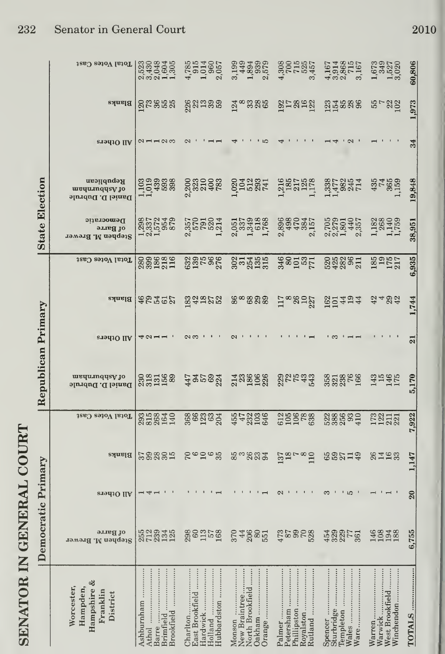| יש עי                     |
|---------------------------|
| <b>NHTLICK</b>            |
| <b>SENATOR IN GENERAL</b> |
|                           |
|                           |
|                           |
|                           |
|                           |
|                           |
|                           |
|                           |
|                           |
|                           |
|                           |

|                        | Total Votes Cast                                              |                                                                                                                                                                                                                                                                                                                        | $\begin{array}{c} 4,785 \\ 915 \\ 1,014 \\ 960 \\ 2,057 \end{array}$ | 3,1993<br>3,449<br>1,893<br>2,579           | $4,308$<br>$700$<br>$715$<br>$3,457$<br>$3,457$                                                                                                                        | $4,3914$<br>$3,868$<br>$3,715$<br>$3,167$ | 1,673<br>1,525<br>1,520<br>3,020         | 60,806                     |
|------------------------|---------------------------------------------------------------|------------------------------------------------------------------------------------------------------------------------------------------------------------------------------------------------------------------------------------------------------------------------------------------------------------------------|----------------------------------------------------------------------|---------------------------------------------|------------------------------------------------------------------------------------------------------------------------------------------------------------------------|-------------------------------------------|------------------------------------------|----------------------------|
|                        | Blanks                                                        | <b>Succes</b>                                                                                                                                                                                                                                                                                                          | 282299                                                               |                                             |                                                                                                                                                                        |                                           | $5 - 22$                                 | 1,973                      |
|                        | All Others                                                    | $\alpha$ – – $\alpha$ $\infty$                                                                                                                                                                                                                                                                                         |                                                                      | סוי                                         |                                                                                                                                                                        | $\sim$                                    |                                          | 34                         |
|                        | Republican<br>mequ.nqqsy jo<br>Daniel D. Dubrule              |                                                                                                                                                                                                                                                                                                                        | 2331083                                                              |                                             | $1.32874$<br>$1.32874$<br>$1.32734$<br>$1.32734$<br>$1.32734$<br>$1.32734$<br>$1.32734$<br>$1.32734$<br>$1.32734$                                                      |                                           | $437409$<br>$1,159$                      | 19,848                     |
| <b>State Election</b>  | Democratic<br>of Barre<br>Stephen M. Brewer                   | 122228<br>122528<br>122528                                                                                                                                                                                                                                                                                             | 2,357<br>578<br>1,214                                                |                                             | 0503888 0682355 06910557<br>0503888 0682365 06910557<br>0. 1 1 2 3 3 3 3 3 4 5 5 6 7 8 9 5 6 7 8 9 5 6 7 8 9 6 7 8 9 7 8 9 7 8 9 7 8 9 7 8 9 7 8 9 7 8 9 7 8 9 7 8 9 7 |                                           | 1,1324                                   | 38,951                     |
|                        | Total Votes Cast                                              | 888888                                                                                                                                                                                                                                                                                                                 | 33588                                                                | 233485                                      | 38237                                                                                                                                                                  | 53385H                                    | 185<br>175<br>175                        | 6,935                      |
|                        |                                                               | $\frac{1}{2}$ and $\frac{1}{2}$ $\frac{1}{2}$ $\frac{1}{2}$ $\frac{1}{2}$ $\frac{1}{2}$ $\frac{1}{2}$ $\frac{1}{2}$ $\frac{1}{2}$ $\frac{1}{2}$ $\frac{1}{2}$ $\frac{1}{2}$ $\frac{1}{2}$ $\frac{1}{2}$ $\frac{1}{2}$ $\frac{1}{2}$ $\frac{1}{2}$ $\frac{1}{2}$ $\frac{1}{2}$ $\frac{1}{2}$ $\frac{1}{2}$ $\frac{1}{2$ | 33252                                                                | ೲೢೲೲ                                        | $12^{\circ}822$                                                                                                                                                        | 501494                                    | 3492                                     | 1,744                      |
|                        | All Others                                                    | 40-1                                                                                                                                                                                                                                                                                                                   |                                                                      |                                             |                                                                                                                                                                        |                                           |                                          | $\overline{\mathbf{z}}$    |
| Republican Primary     | medmuddeA to<br>Daniel D. Dubrule                             | 331568<br>231568                                                                                                                                                                                                                                                                                                       | 435883                                                               | anggga angga                                |                                                                                                                                                                        | 3533566                                   | $3545$<br>$145$                          | 5,170                      |
|                        | Total Votes Cast                                              | 335840<br>228440                                                                                                                                                                                                                                                                                                       | <b>889333</b>                                                        | 552336                                      | <b>3250888</b>                                                                                                                                                         | 388839                                    | 17211321                                 | 7,922                      |
|                        | Blanks                                                        | sagger                                                                                                                                                                                                                                                                                                                 | <b>Sedeä</b>                                                         | 50834                                       | 01878<br>1979<br>1979                                                                                                                                                  | 69214                                     | <b>21163</b>                             | 1,147                      |
| mocratic Primary       | <b>STALLO</b> IIA                                             |                                                                                                                                                                                                                                                                                                                        |                                                                      |                                             |                                                                                                                                                                        |                                           |                                          | $\boldsymbol{\mathcal{Z}}$ |
| $\mathbf{D}\mathbf{e}$ | of Barre<br>$\vert$ Stephen M. Brewer                         | 552345<br>573345                                                                                                                                                                                                                                                                                                       | 880758                                                               |                                             | s 4885 Gross Gross S                                                                                                                                                   |                                           | 14888                                    | 755                        |
|                        | Hampshire &<br>Worcester,<br>Hampden,<br>Franklin<br>District | Ashburnham<br>Brookfield<br><br>Barre<br>Brimfield                                                                                                                                                                                                                                                                     | Hubbardston<br>Hardwick<br>East Brookfield<br>Charlton<br>Holland    | Orange<br>New Braintree<br>North Brookfield | Rutland<br>Petersham<br>Royalston<br>Palmer<br>Phillipston                                                                                                             | Templeton                                 | West Brookfield<br>Winchendon<br>Warwick | TOTALS                     |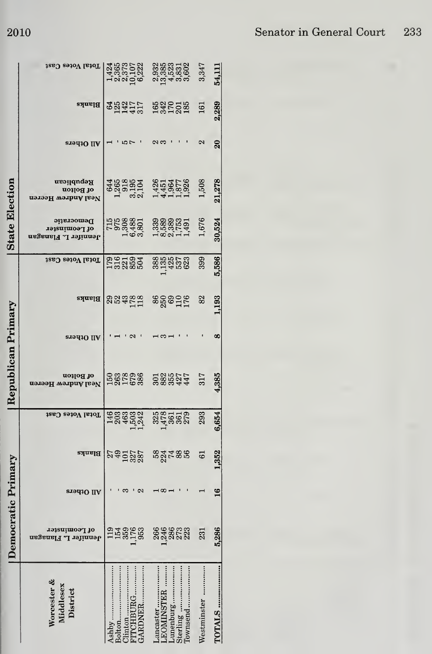|                       | Total Votes Cast                                    | 13657523<br>13657523<br>136256               |  |                                                                 | 038031<br>038031<br>035000<br>031000 |  |         | 3,347       | 54,111          |
|-----------------------|-----------------------------------------------------|----------------------------------------------|--|-----------------------------------------------------------------|--------------------------------------|--|---------|-------------|-----------------|
|                       | <b>Blanks</b>                                       | <b>882757</b><br>021457                      |  | 53525                                                           |                                      |  |         | 161         | 2,289           |
|                       | All Others                                          |                                              |  | လက                                                              |                                      |  |         | N           | $\overline{20}$ |
|                       | Republican<br>of Bolton<br>Neal Andrew Heeren       | 4468284<br>12628444565786<br>126384444445667 |  |                                                                 |                                      |  |         | 1,508       | 21,278          |
| <b>State Election</b> | Democratic<br>of Leominster<br>Jennifer L. Flanagan | 1568801<br>0569801<br>06.980                 |  | $\begin{array}{c} 3388861 \\ 3388754 \\ -884141 \\ \end{array}$ |                                      |  |         | 1,676       | 30,524          |
|                       | Total Votes Cast                                    | 222222                                       |  |                                                                 | 885858                               |  |         | 399         | 5,586           |
|                       | Blanks                                              | 333989                                       |  |                                                                 | <b>888915</b>                        |  |         | 82          | 1,193           |
|                       | All Others                                          |                                              |  |                                                                 | ⊣ຕ−                                  |  |         |             | 8               |
| Republican Primary    | of Bolton<br>Neal Andrew Heeren                     | 1221622 232214                               |  |                                                                 |                                      |  |         | 317         | 4.385           |
|                       | Total Votes Cast                                    | 1983934                                      |  |                                                                 | 3258528<br>145852                    |  |         | 293         | 6,654           |
|                       | Blanks                                              | 23222                                        |  |                                                                 | <b>33788</b>                         |  |         | 5           | 1,352           |
| mocratic Primary      | All Others                                          |                                              |  |                                                                 | ю                                    |  |         |             | $\mathbf{e}$    |
| å                     | of Leominster<br>Jennifer L. Flanagan               | 158258                                       |  |                                                                 | 888652<br>88852                      |  |         | 231         | 5,286           |
|                       | Worcester &<br>Middlesex<br>District                |                                              |  |                                                                 |                                      |  | ownsend | Westminster | TOTALS          |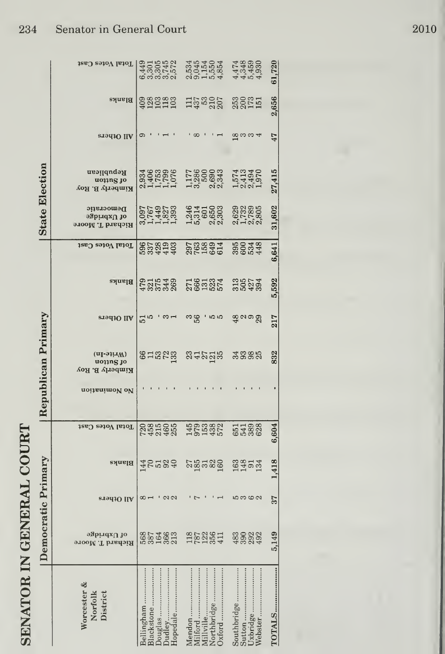| トーくく<br>໌                              |
|----------------------------------------|
| È<br>:<br>־Eק<br>י<br>1                |
| í<br>$\mathbf{I}$                      |
| Ç<br>1<br><b>S</b><br>r<br>4<br>l<br>l |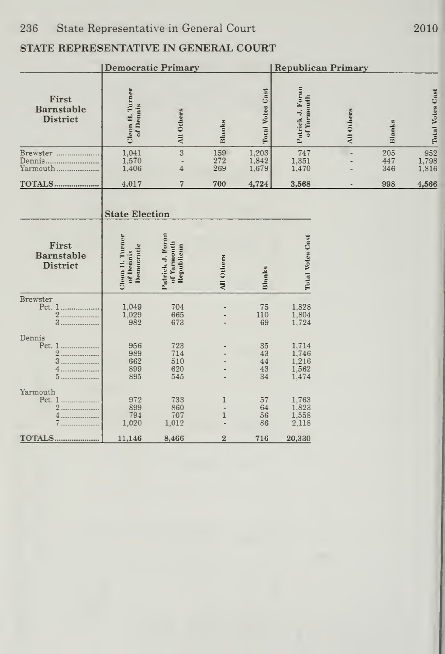## STATE REPRESENTATIVE IN GENERAL COURT

|                                                          | <b>Democratic Primary</b>                  |                                               |                         |                            |                                           | <b>Republican Primary</b> |                   |                         |
|----------------------------------------------------------|--------------------------------------------|-----------------------------------------------|-------------------------|----------------------------|-------------------------------------------|---------------------------|-------------------|-------------------------|
| First<br>Barnstable<br><b>District</b>                   | Cleon H. Turner<br>of Dennis               | All Others                                    | Blanks                  | <b>Total Votes Cast</b>    | Putrick J. Forun<br>of Yarmouth           | All Others                | Blanks            | <b>Total Votes Cast</b> |
| Brewster<br>Yarmouth                                     | 1,041<br>1,570<br>1,406                    | 3<br>$\overline{a}$<br>$\overline{4}$         | 159<br>272<br>269       | 1,203<br>1,842<br>1,679    | 747<br>1,351<br>1,470                     |                           | 205<br>447<br>346 | 952<br>1,798<br>1,816   |
| <b>TOTALS</b>                                            | 4,017                                      | $\overline{7}$                                | 700                     | 4,724                      | 3,568                                     |                           | 998               | 4,566                   |
|                                                          | <b>State Election</b>                      |                                               |                         |                            |                                           |                           |                   |                         |
| First<br>Barnstable<br>District                          | Cleon H. Turner<br>Democratic<br>of Dennis | Patrick J. Foran<br>of Yarmouth<br>Republican | <b>All Others</b>       | Blunks                     | <b>Total Votes Cust</b>                   |                           |                   |                         |
| <b>Brewster</b><br>Pct. 1<br>2<br>3                      | 1,049<br>1,029<br>982                      | 704<br>665<br>673                             |                         | 75<br>110<br>69            | 1,828<br>1,804<br>1,724                   |                           |                   |                         |
| Dennis<br>Pct. 1<br>$\overline{2}$<br>.<br>3<br>4.<br>5. | 956<br>989<br>662<br>899<br>895            | 723<br>714<br>510<br>620<br>545               |                         | 35<br>43<br>44<br>43<br>34 | 1,714<br>1,746<br>1,216<br>1,562<br>1,474 |                           |                   |                         |
| Yarmouth<br>Pct. 1<br>.<br>.                             | 972<br>899<br>794<br>1,020                 | 733<br>860<br>707<br>1,012                    | 1<br>÷.<br>$\mathbf{1}$ | 57<br>64<br>56<br>86       | 1,763<br>1,823<br>1,558<br>2,118          |                           |                   |                         |
| TOTALS                                                   | 11,146                                     | 8,466                                         | $\overline{2}$          | 716                        | 20,330                                    |                           |                   |                         |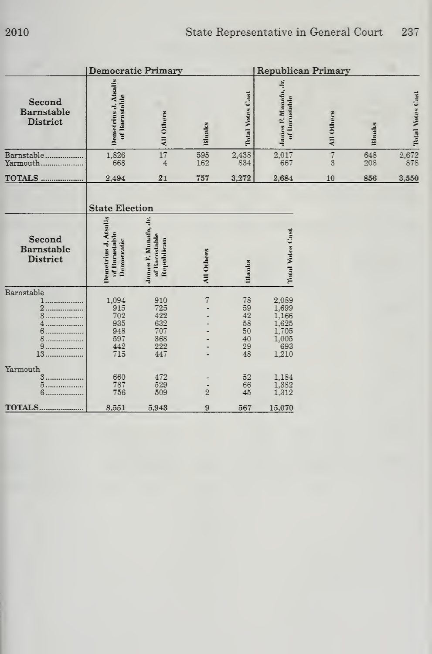|                                  |                                                                              | <b>Democratic Primary</b>                            |                   |                                              | Republican Primary                                                 |                     |            |                                             |
|----------------------------------|------------------------------------------------------------------------------|------------------------------------------------------|-------------------|----------------------------------------------|--------------------------------------------------------------------|---------------------|------------|---------------------------------------------|
| Second<br>Barnstable<br>District | Demetrius J. Atsalis<br>of Barnstable                                        | All Others                                           | Blanks            | Total Votes Cast                             | James F. Mamafa, Jr.<br>of Barastable                              | <b>All Othms</b>    | Blanks     | Total Votes Cost                            |
| Barnstable<br>Yarmouth           | 1,826<br>668                                                                 | 17<br>$\overline{4}$                                 | 595<br>162        | 2,438<br>834                                 | 2,017<br>667                                                       | $\overline{7}$<br>3 | 648<br>208 | $\begin{array}{r} 2,672 \\ 878 \end{array}$ |
| <b>TOTALS </b>                   | 2,494                                                                        | 21                                                   | 757               | 3,272                                        | 2,684                                                              | 10                  | 856        | 3,550                                       |
| Second<br>Barnstable<br>District | <b>State Election</b><br>Demetrius J. Atsalis<br>of Burnstable<br>Demneratie | James F. Munafu, Jr.<br>of Bornstable<br>Republican  | <b>All Others</b> | Blanks                                       | Total Votes Cast                                                   |                     |            |                                             |
| Barnstable<br>.<br>.<br>13       | 1,094<br>915<br>702<br>935<br>948<br>597<br>442<br>715                       | 910<br>725<br>422<br>632<br>707<br>368<br>222<br>447 | 7                 | 78<br>59<br>42<br>58<br>50<br>40<br>29<br>48 | 2,089<br>1,699<br>1,166<br>1,625<br>1,705<br>1,005<br>693<br>1,210 |                     |            |                                             |
| Yarmouth<br>3<br>5.<br>6.        | 660<br>787<br>756                                                            | 472<br>529<br>509                                    | $\overline{2}$    | 52<br>66<br>45                               | 1,184<br>1,382<br>1,312                                            |                     |            |                                             |
| <b>TOTALS</b>                    | 8,551                                                                        | 5,943                                                | 9                 | 567                                          | 15,070                                                             |                     |            |                                             |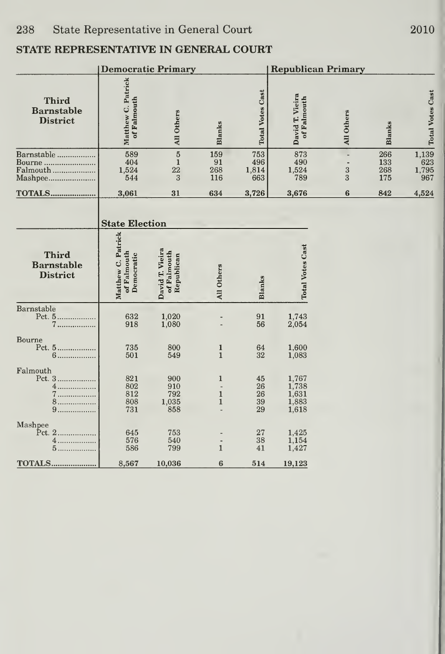## STATE REPRESENTATIVE IN GENERAL COURT

|                                                      |                                                 | <b>Democratic Primary</b>                    |                                              |                            | <b>Republican Primary</b>                 |                                          |                          |                                |
|------------------------------------------------------|-------------------------------------------------|----------------------------------------------|----------------------------------------------|----------------------------|-------------------------------------------|------------------------------------------|--------------------------|--------------------------------|
| <b>Third</b><br><b>Barnstable</b><br><b>District</b> | Matthew C. Patrick<br>of Falmouth               | All Others                                   | <b>Blanks</b>                                | <b>Total Votes Cast</b>    | David T. Vieira<br>of Falmouth            | All Others                               | <b>Blanks</b>            | <b>Total Votes Cast</b>        |
| Barnstable<br>Bourne<br>Falmouth<br>Mashpee          | 589<br>404<br>1,524<br>544                      | $\overline{5}$<br>$\mathbf{1}$<br>22<br>3    | 159<br>91<br>268<br>116                      | 753<br>496<br>1,814<br>663 | 873<br>490<br>1,524<br>789                | ÷,<br>$\overline{\phantom{a}}$<br>3<br>3 | 266<br>133<br>268<br>175 | $1,139$<br>623<br>1,795<br>967 |
| <b>TOTALS</b>                                        | 3,061                                           | 31                                           | 634                                          | 3,726                      | 3,676                                     | 6                                        | 842                      | 4,524                          |
|                                                      | <b>State Election</b>                           |                                              |                                              |                            |                                           |                                          |                          |                                |
| <b>Third</b><br><b>Barnstable</b><br><b>District</b> | Matthew C. Patrick<br>of Falmouth<br>Democratic | David T. Vieira<br>of Falmouth<br>Republican | All Others                                   | <b>Blanks</b>              | <b>Total Votes Cast</b>                   |                                          |                          |                                |
| Barnstable<br>Pct. 5<br>7.                           | 632<br>918                                      | 1,020<br>1,080                               |                                              | 91<br>56                   | 1,743<br>2,054                            |                                          |                          |                                |
| Bourne<br>Pct. 5<br>6                                | 735<br>501                                      | 800<br>549                                   | 1<br>$\mathbf{1}$                            | 64<br>32                   | 1,600<br>1,083                            |                                          |                          |                                |
| Falmouth<br>Pct. 3<br>4.<br>7<br>8.<br>9.            | 821<br>802<br>812<br>808<br>731                 | 900<br>910<br>792<br>1,035<br>858            | $\mathbf{1}$<br>$\mathbf{1}$<br>$\mathbf{1}$ | 45<br>26<br>26<br>39<br>29 | 1,767<br>1,738<br>1,631<br>1,883<br>1,618 |                                          |                          |                                |
| Mashpee<br>Pct. 2<br>.<br>4<br>5                     | 645<br>576<br>586                               | 753<br>540<br>799                            | $\mathbf{1}$                                 | 27<br>38<br>41             | 1,425<br>1,154<br>1,427                   |                                          |                          |                                |
| <b>TOTALS</b>                                        | 8,567                                           | 10,036                                       | 6                                            | 514                        | 19,123                                    |                                          |                          |                                |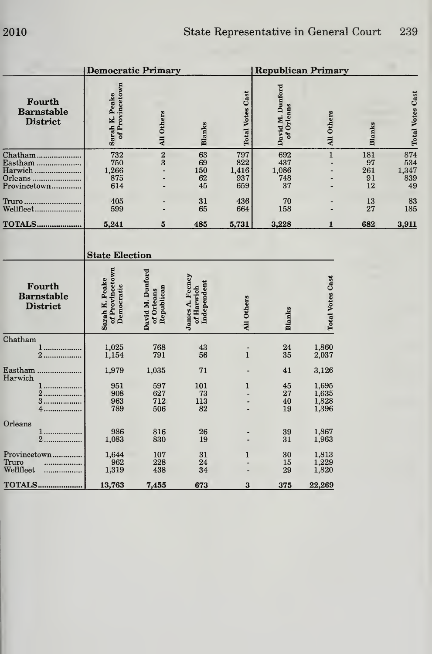|                                                          | <b>Democratic Primary</b>                                                |                                              |                                              |                                   |                                  | <b>Republican Primary</b>        |                              |                                         |
|----------------------------------------------------------|--------------------------------------------------------------------------|----------------------------------------------|----------------------------------------------|-----------------------------------|----------------------------------|----------------------------------|------------------------------|-----------------------------------------|
| Fourth<br><b>Barnstable</b><br><b>District</b>           | of Provincetown<br>Sarah K. Peake                                        | All Others                                   | <b>Blanks</b>                                | <b>Total Votes Cast</b>           | David M. Dunford<br>of Orleans   | All Others                       | <b>Blanks</b>                |                                         |
| Chatham<br>Eastham<br>Harwich<br>Orleans<br>Provincetown | 732<br>750<br>1,266<br>875<br>614                                        | $\overline{2}$<br>3<br>$\overline{a}$        | 63<br>69<br>150<br>62<br>45                  | 797<br>822<br>1,416<br>937<br>659 | 692<br>437<br>1,086<br>748<br>37 | $\mathbf 1$                      | 181<br>97<br>261<br>91<br>12 | 874<br>534<br>$\frac{1,34'}{839}$<br>49 |
| Truro<br>Wellfleet                                       | 405<br>599                                                               |                                              | 31<br>65                                     | 436<br>664                        | 70<br>158                        |                                  | 13<br>27                     | 8 <sub>i</sub><br>185                   |
| <b>TOTALS</b>                                            | 5,241                                                                    | $5\phantom{.0}$                              | 485                                          | 5,731                             | 3,228                            | $\mathbf{1}$                     | 682                          | 3,911                                   |
| Fourth<br><b>Barnstable</b><br><b>District</b>           | <b>State Election</b><br>of Provincetown<br>Sarah K. Peake<br>Democratic | David M. Dunford<br>Republican<br>of Orleans | James A. Feeney<br>Independent<br>of Harwich | All Others                        | <b>Blanks</b>                    | <b>Total Votes Cast</b>          |                              |                                         |
| Chatham<br>1<br>2.                                       | 1,025<br>1,154                                                           | 768<br>791                                   | 43<br>56                                     | $\mathbf{1}$                      | 24<br>35                         | 1,860<br>2,037                   |                              |                                         |
| Eastham                                                  | 1,979                                                                    | 1,035                                        | 71                                           |                                   | 41                               | 3,126                            |                              |                                         |
| Harwich<br>4.                                            | 951<br>908<br>963<br>789                                                 | 597<br>627<br>712<br>506                     | 101<br>73<br>113<br>82                       | $\mathbf{1}$                      | 45<br>27<br>40<br>19             | 1,695<br>1,635<br>1,828<br>1,396 |                              |                                         |
| Orleans<br>1<br>$\overline{2}$<br>.                      | 986<br>1,083                                                             | 816<br>830                                   | 26<br>19                                     |                                   | 39<br>31                         | 1,867<br>1,963                   |                              |                                         |
| Provincetown<br>Truro<br>Wellfleet                       | 1,644<br>962<br>1,319                                                    | 107<br>228<br>438                            | 31<br>24<br>34                               | $\mathbf{1}$                      | 30<br>15<br>29                   | 1,813<br>1,229<br>1,820          |                              |                                         |
| TOTALS                                                   | 13,763                                                                   | 7,455                                        | 673                                          | $\bf{3}$                          | 375                              | 22,269                           |                              |                                         |